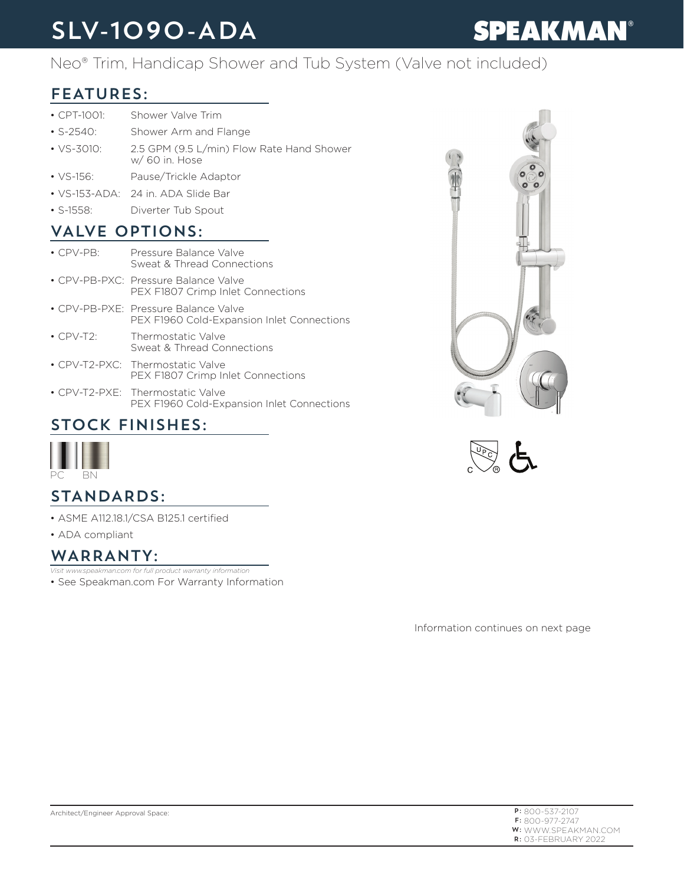## SLV-1090-ADA

# **SPEAKMAN®**

Neo® Trim, Handicap Shower and Tub System (Valve not included)

#### FEATURES:

- CPT-1001: Shower Valve Trim
- S-2540: Shower Arm and Flange
- VS-3010: 2.5 GPM (9.5 L/min) Flow Rate Hand Shower w/ 60 in. Hose
- VS-156: Pause/Trickle Adaptor
- VS-153-ADA: 24 in. ADA Slide Bar
- S-1558: Diverter Tub Spout

#### VALVE OPTIONS:

| $\cdot$ CPV-PR: | Pressure Balance Valve<br>Sweat & Thread Connections                               |
|-----------------|------------------------------------------------------------------------------------|
|                 | • CPV-PB-PXC: Pressure Balance Valve<br>PEX F1807 Crimp Inlet Connections          |
|                 | • CPV-PB-PXE: Pressure Balance Valve<br>PEX F1960 Cold-Expansion Inlet Connections |
| $\cdot$ CPV-T2: | Thermostatic Valve<br>Sweat & Thread Connections                                   |
|                 | • CPV-T2-PXC: Thermostatic Valve<br>PEX F1807 Crimp Inlet Connections              |
|                 | • CPV-T2-PXE: Thermostatic Valve<br>PEX F1960 Cold-Expansion Inlet Connections     |





### STOCK FINISHES:



#### STANDARDS:

- ASME A112.18.1/CSA B125.1 certified
- ADA compliant

#### WARRANTY:

- *Visit www.speakman.com for full product warranty information*
- See Speakman.com For Warranty Information

Information continues on next page

| $P: 800 - 537 - 2107$      |
|----------------------------|
| $F: 800 - 977 - 2747$      |
| <b>W:</b> WWW.SPFAKMAN.COM |
| $R:$ 03-FFBRUARY 2022      |